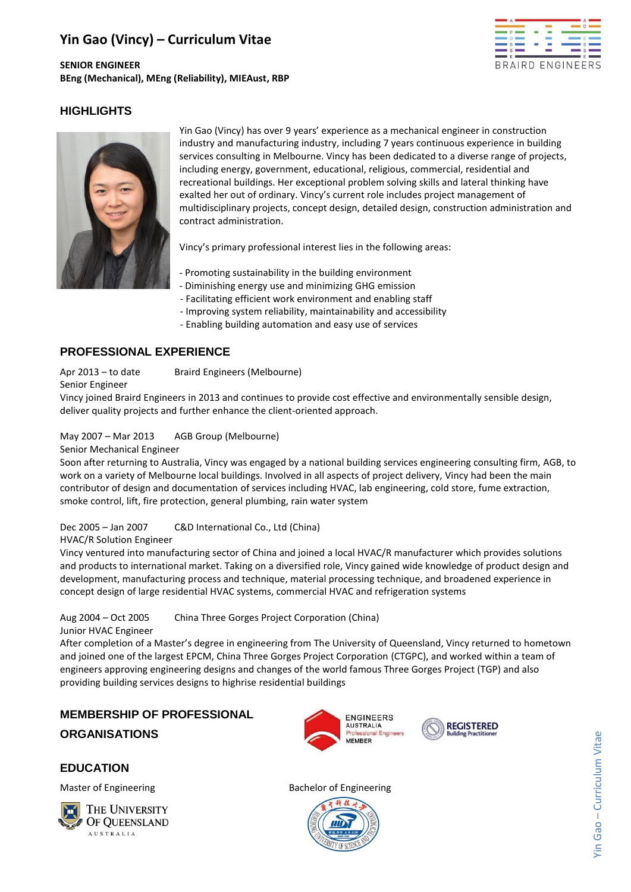# **Yin Gao (Vincy) – Curriculum Vitae**

**SENIOR ENGINEER BEng (Mechanical), MEng (Reliability), MIEAust, RBP**



# **HIGHLIGHTS**



Yin Gao (Vincy) has over 9 years' experience as a mechanical engineer in construction industry and manufacturing industry, including 7 years continuous experience in building services consulting in Melbourne. Vincy has been dedicated to a diverse range of projects, including energy, government, educational, religious, commercial, residential and recreational buildings. Her exceptional problem solving skills and lateral thinking have exalted her out of ordinary. Vincy's current role includes project management of multidisciplinary projects, concept design, detailed design, construction administration and contract administration.

Vincy's primary professional interest lies in the following areas:

- Promoting sustainability in the building environment
- Diminishing energy use and minimizing GHG emission
- Facilitating efficient work environment and enabling staff
- Improving system reliability, maintainability and accessibility
- Enabling building automation and easy use of services

## **PROFESSIONAL EXPERIENCE**

Senior Engineer

Apr 2013 – to date Braird Engineers (Melbourne)

Vincy joined Braird Engineers in 2013 and continues to provide cost effective and environmentally sensible design, deliver quality projects and further enhance the client-oriented approach.

May 2007 – Mar 2013 AGB Group (Melbourne)

Senior Mechanical Engineer

Soon after returning to Australia, Vincy was engaged by a national building services engineering consulting firm, AGB, to work on a variety of Melbourne local buildings. Involved in all aspects of project delivery, Vincy had been the main contributor of design and documentation of services including HVAC, lab engineering, cold store, fume extraction, smoke control, lift, fire protection, general plumbing, rain water system

Dec 2005 – Jan 2007 C&D International Co., Ltd (China)

#### HVAC/R Solution Engineer

Vincy ventured into manufacturing sector of China and joined a local HVAC/R manufacturer which provides solutions and products to international market. Taking on a diversified role, Vincy gained wide knowledge of product design and development, manufacturing process and technique, material processing technique, and broadened experience in concept design of large residential HVAC systems, commercial HVAC and refrigeration systems

Aug 2004 – Oct 2005 China Three Gorges Project Corporation (China)

Junior HVAC Engineer

After completion of a Master's degree in engineering from The University of Queensland, Vincy returned to hometown and joined one of the largest EPCM, China Three Gorges Project Corporation (CTGPC), and worked within a team of engineers approving engineering designs and changes of the world famous Three Gorges Project (TGP) and also providing building services designs to highrise residential buildings

# **MEMBERSHIP OF PROFESSIONAL**

## **ORGANISATIONS**

## **EDUCATION**

Master of Engineering **Bachelor** of Engineering